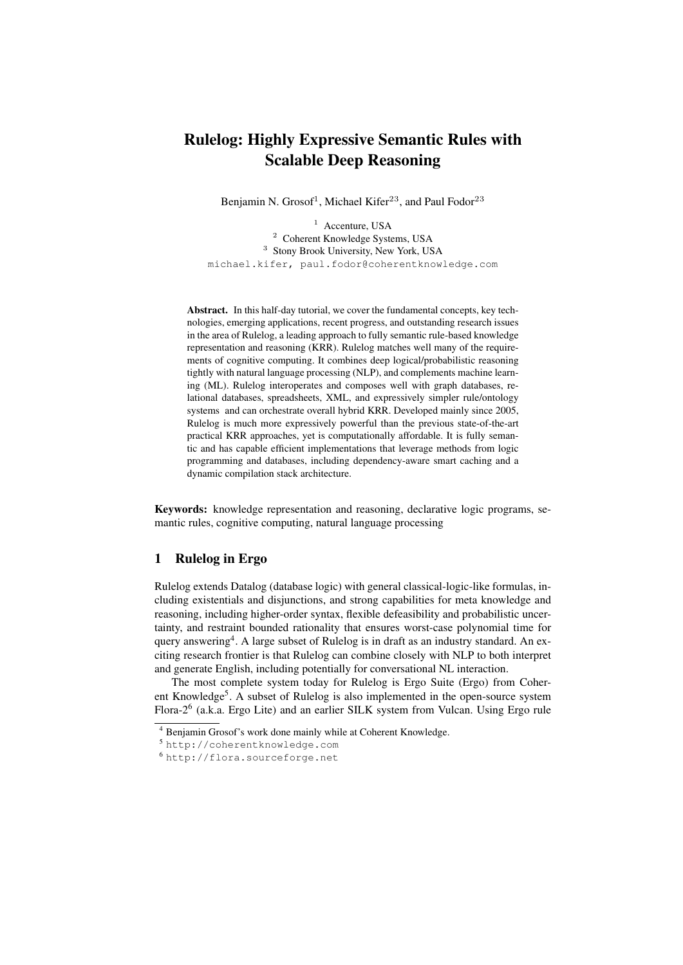## Rulelog: Highly Expressive Semantic Rules with Scalable Deep Reasoning

Benjamin N. Grosof<sup>1</sup>, Michael Kifer<sup>23</sup>, and Paul Fodor<sup>23</sup>

<sup>1</sup> Accenture, USA <sup>2</sup> Coherent Knowledge Systems, USA <sup>3</sup> Stony Brook University, New York, USA michael.kifer, paul.fodor@coherentknowledge.com

Abstract. In this half-day tutorial, we cover the fundamental concepts, key technologies, emerging applications, recent progress, and outstanding research issues in the area of Rulelog, a leading approach to fully semantic rule-based knowledge representation and reasoning (KRR). Rulelog matches well many of the requirements of cognitive computing. It combines deep logical/probabilistic reasoning tightly with natural language processing (NLP), and complements machine learning (ML). Rulelog interoperates and composes well with graph databases, relational databases, spreadsheets, XML, and expressively simpler rule/ontology systems and can orchestrate overall hybrid KRR. Developed mainly since 2005, Rulelog is much more expressively powerful than the previous state-of-the-art practical KRR approaches, yet is computationally affordable. It is fully semantic and has capable efficient implementations that leverage methods from logic programming and databases, including dependency-aware smart caching and a dynamic compilation stack architecture.

Keywords: knowledge representation and reasoning, declarative logic programs, semantic rules, cognitive computing, natural language processing

## 1 Rulelog in Ergo

Rulelog extends Datalog (database logic) with general classical-logic-like formulas, including existentials and disjunctions, and strong capabilities for meta knowledge and reasoning, including higher-order syntax, flexible defeasibility and probabilistic uncertainty, and restraint bounded rationality that ensures worst-case polynomial time for query answering<sup>4</sup>. A large subset of Rulelog is in draft as an industry standard. An exciting research frontier is that Rulelog can combine closely with NLP to both interpret and generate English, including potentially for conversational NL interaction.

The most complete system today for Rulelog is Ergo Suite (Ergo) from Coherent Knowledge<sup>5</sup>. A subset of Rulelog is also implemented in the open-source system Flora-2<sup>6</sup> (a.k.a. Ergo Lite) and an earlier SILK system from Vulcan. Using Ergo rule

<sup>4</sup> Benjamin Grosof's work done mainly while at Coherent Knowledge.

<sup>5</sup> http://coherentknowledge.com

<sup>6</sup> http://flora.sourceforge.net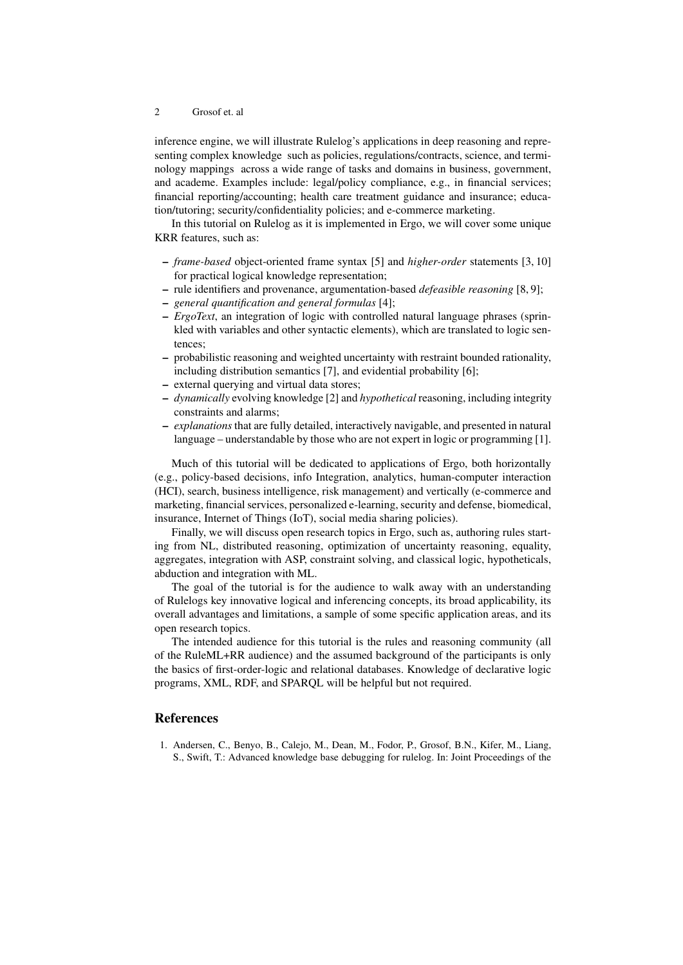## 2 Grosof et. al

inference engine, we will illustrate Rulelog's applications in deep reasoning and representing complex knowledge such as policies, regulations/contracts, science, and terminology mappings across a wide range of tasks and domains in business, government, and academe. Examples include: legal/policy compliance, e.g., in financial services; financial reporting/accounting; health care treatment guidance and insurance; education/tutoring; security/confidentiality policies; and e-commerce marketing.

In this tutorial on Rulelog as it is implemented in Ergo, we will cover some unique KRR features, such as:

- *frame-based* object-oriented frame syntax [5] and *higher-order* statements [3, 10] for practical logical knowledge representation;
- rule identifiers and provenance, argumentation-based *defeasible reasoning* [8, 9];
- *general quantification and general formulas* [4];
- *ErgoText*, an integration of logic with controlled natural language phrases (sprinkled with variables and other syntactic elements), which are translated to logic sentences;
- probabilistic reasoning and weighted uncertainty with restraint bounded rationality, including distribution semantics [7], and evidential probability [6];
- external querying and virtual data stores;
- *dynamically* evolving knowledge [2] and *hypothetical* reasoning, including integrity constraints and alarms;
- *explanations* that are fully detailed, interactively navigable, and presented in natural language – understandable by those who are not expert in logic or programming [1].

Much of this tutorial will be dedicated to applications of Ergo, both horizontally (e.g., policy-based decisions, info Integration, analytics, human-computer interaction (HCI), search, business intelligence, risk management) and vertically (e-commerce and marketing, financial services, personalized e-learning, security and defense, biomedical, insurance, Internet of Things (IoT), social media sharing policies).

Finally, we will discuss open research topics in Ergo, such as, authoring rules starting from NL, distributed reasoning, optimization of uncertainty reasoning, equality, aggregates, integration with ASP, constraint solving, and classical logic, hypotheticals, abduction and integration with ML.

The goal of the tutorial is for the audience to walk away with an understanding of Rulelogs key innovative logical and inferencing concepts, its broad applicability, its overall advantages and limitations, a sample of some specific application areas, and its open research topics.

The intended audience for this tutorial is the rules and reasoning community (all of the RuleML+RR audience) and the assumed background of the participants is only the basics of first-order-logic and relational databases. Knowledge of declarative logic programs, XML, RDF, and SPARQL will be helpful but not required.

## References

1. Andersen, C., Benyo, B., Calejo, M., Dean, M., Fodor, P., Grosof, B.N., Kifer, M., Liang, S., Swift, T.: Advanced knowledge base debugging for rulelog. In: Joint Proceedings of the